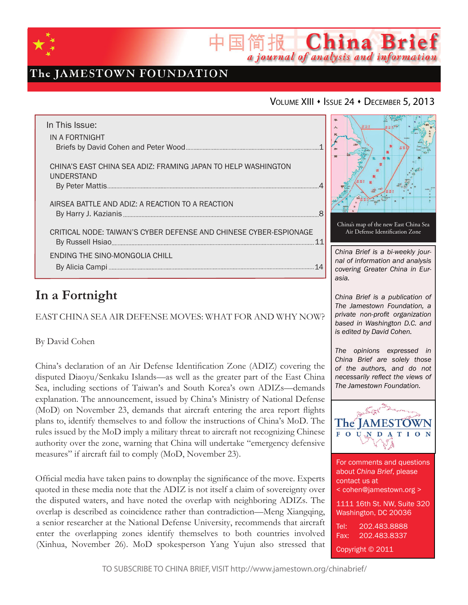

# The JAMESTOWN FOUNDATION

## VOLUME XIII · ISSUE 24 · DECEMBER 5, 2013

简报 China Brief

a journal of analysis and information

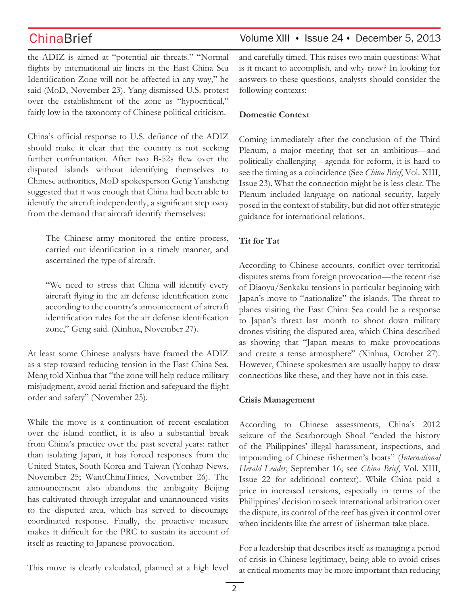the ADIZ is aimed at "potential air threats." "Normal flights by international air liners in the East China Sea Identification Zone will not be affected in any way," he said (MoD, November 23). Yang dismissed U.S. protest over the establishment of the zone as "hypocritical," fairly low in the taxonomy of Chinese political criticism.

China's official response to U.S. defiance of the ADIZ should make it clear that the country is not seeking further confrontation. After two B-52s flew over the disputed islands without identifying themselves to Chinese authorities, MoD spokesperson Geng Yansheng suggested that it was enough that China had been able to identify the aircraft independently, a significant step away from the demand that aircraft identify themselves:

The Chinese army monitored the entire process, carried out identification in a timely manner, and ascertained the type of aircraft.

"We need to stress that China will identify every aircraft flying in the air defense identification zone according to the country's announcement of aircraft identification rules for the air defense identification zone," Geng said. (Xinhua, November 27).

At least some Chinese analysts have framed the ADIZ as a step toward reducing tension in the East China Sea. Meng told Xinhua that "the zone will help reduce military misjudgment, avoid aerial friction and safeguard the flight order and safety" (November 25).

While the move is a continuation of recent escalation over the island conflict, it is also a substantial break from China's practice over the past several years: rather than isolating Japan, it has forced responses from the United States, South Korea and Taiwan (Yonhap News, November 25; WantChinaTimes, November 26). The announcement also abandons the ambiguity Beijing has cultivated through irregular and unannounced visits to the disputed area, which has served to discourage coordinated response. Finally, the proactive measure makes it difficult for the PRC to sustain its account of itself as reacting to Japanese provocation.

This move is clearly calculated, planned at a high level

ChinaBrief Volume XIII • Issue 24 • December 5, 2013

and carefully timed. This raises two main questions: What is it meant to accomplish, and why now? In looking for answers to these questions, analysts should consider the following contexts:

## **Domestic Context**

Coming immediately after the conclusion of the Third Plenum, a major meeting that set an ambitious—and politically challenging—agenda for reform, it is hard to see the timing as a coincidence (See *China Brief*, Vol. XIII, Issue 23). What the connection might be is less clear. The Plenum included language on national security, largely posed in the context of stability, but did not offer strategic guidance for international relations.

## **Tit for Tat**

According to Chinese accounts, conflict over territorial disputes stems from foreign provocation—the recent rise of Diaoyu/Senkaku tensions in particular beginning with Japan's move to "nationalize" the islands. The threat to planes visiting the East China Sea could be a response to Japan's threat last month to shoot down military drones visiting the disputed area, which China described as showing that "Japan means to make provocations and create a tense atmosphere" (Xinhua, October 27). However, Chinese spokesmen are usually happy to draw connections like these, and they have not in this case.

## **Crisis Management**

According to Chinese assessments, China's 2012 seizure of the Scarborough Shoal "ended the history of the Philippines' illegal harassment, inspections, and impounding of Chinese fishermen's boats" (*International Herald Leader*, September 16; see *China Brief*, Vol. XIII, Issue 22 for additional context). While China paid a price in increased tensions, especially in terms of the Philippines' decision to seek international arbitration over the dispute, its control of the reef has given it control over when incidents like the arrest of fisherman take place.

For a leadership that describes itself as managing a period of crisis in Chinese legitimacy, being able to avoid crises at critical moments may be more important than reducing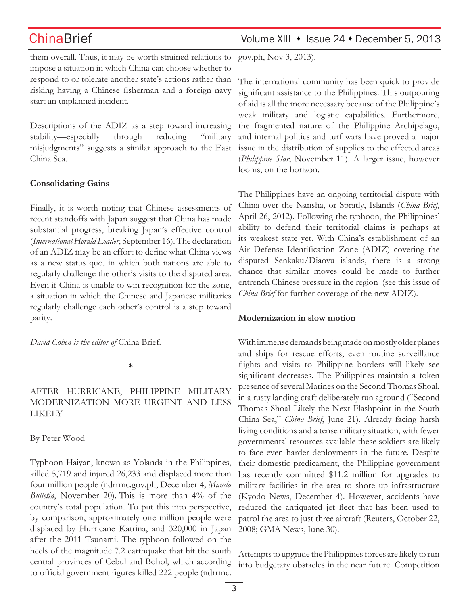them overall. Thus, it may be worth strained relations to impose a situation in which China can choose whether to respond to or tolerate another state's actions rather than risking having a Chinese fisherman and a foreign navy start an unplanned incident.

Descriptions of the ADIZ as a step toward increasing stability—especially through reducing "military misjudgments" suggests a similar approach to the East China Sea.

### **Consolidating Gains**

Finally, it is worth noting that Chinese assessments of recent standoffs with Japan suggest that China has made substantial progress, breaking Japan's effective control (*International Herald Leader*, September 16). The declaration of an ADIZ may be an effort to define what China views as a new status quo, in which both nations are able to regularly challenge the other's visits to the disputed area. Even if China is unable to win recognition for the zone, a situation in which the Chinese and Japanese militaries regularly challenge each other's control is a step toward parity.

*David Cohen is the editor of* China Brief.

**\***

## After Hurricane, Philippine Military Modernization More Urgent and Less Likely

## By Peter Wood

Typhoon Haiyan, known as Yolanda in the Philippines, killed 5,719 and injured 26,233 and displaced more than four million people (ndrrmc.gov.ph, December 4; *Manila Bulletin*, November 20). This is more than 4% of the country's total population. To put this into perspective, by comparison, approximately one million people were displaced by Hurricane Katrina, and 320,000 in Japan after the 2011 Tsunami. The typhoon followed on the heels of the magnitude 7.2 earthquake that hit the south central provinces of Cebul and Bohol, which according to official government figures killed 222 people (ndrrmc.

# ChinaBrief Volume XIII • Issue 24 • December 5, 2013

gov.ph, Nov 3, 2013).

The international community has been quick to provide significant assistance to the Philippines. This outpouring of aid is all the more necessary because of the Philippine's weak military and logistic capabilities. Furthermore, the fragmented nature of the Philippine Archipelago, and internal politics and turf wars have proved a major issue in the distribution of supplies to the effected areas (*Philippine Star*, November 11). A larger issue, however looms, on the horizon.

The Philippines have an ongoing territorial dispute with China over the Nansha, or Spratly, Islands (*China Brief,* April 26, 2012). Following the typhoon, the Philippines' ability to defend their territorial claims is perhaps at its weakest state yet. With China's establishment of an Air Defense Identification Zone (ADIZ) covering the disputed Senkaku/Diaoyu islands, there is a strong chance that similar moves could be made to further entrench Chinese pressure in the region (see this issue of *China Brief* for further coverage of the new ADIZ).

### **Modernization in slow motion**

With immense demands being made on mostly older planes and ships for rescue efforts, even routine surveillance flights and visits to Philippine borders will likely see significant decreases. The Philippines maintain a token presence of several Marines on the Second Thomas Shoal, in a rusty landing craft deliberately run aground ("Second Thomas Shoal Likely the Next Flashpoint in the South China Sea," *China Brief*, June 21). Already facing harsh living conditions and a tense military situation, with fewer governmental resources available these soldiers are likely to face even harder deployments in the future. Despite their domestic predicament, the Philippine government has recently committed \$11.2 million for upgrades to military facilities in the area to shore up infrastructure (Kyodo News, December 4). However, accidents have reduced the antiquated jet fleet that has been used to patrol the area to just three aircraft (Reuters, October 22, 2008; GMA News, June 30).

Attempts to upgrade the Philippines forces are likely to run into budgetary obstacles in the near future. Competition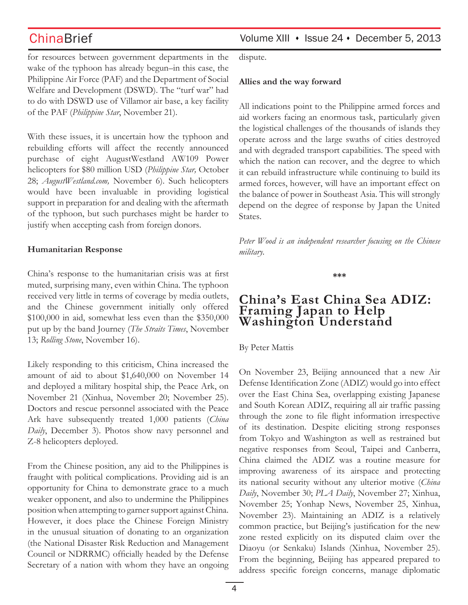for resources between government departments in the wake of the typhoon has already begun–in this case, the Philippine Air Force (PAF) and the Department of Social Welfare and Development (DSWD). The "turf war" had to do with DSWD use of Villamor air base, a key facility of the PAF (*Philippine Star*, November 21).

With these issues, it is uncertain how the typhoon and rebuilding efforts will affect the recently announced purchase of eight AugustWestland AW109 Power helicopters for \$80 million USD (*Philippine Star,* October 28; *AugustWestland.com,* November 6). Such helicopters would have been invaluable in providing logistical support in preparation for and dealing with the aftermath of the typhoon, but such purchases might be harder to justify when accepting cash from foreign donors.

### **Humanitarian Response**

China's response to the humanitarian crisis was at first muted, surprising many, even within China. The typhoon received very little in terms of coverage by media outlets, and the Chinese government initially only offered \$100,000 in aid, somewhat less even than the \$350,000 put up by the band Journey (*The Straits Times*, November 13; *Rolling Stone*, November 16).

Likely responding to this criticism, China increased the amount of aid to about \$1,640,000 on November 14 and deployed a military hospital ship, the Peace Ark, on November 21 (Xinhua, November 20; November 25). Doctors and rescue personnel associated with the Peace Ark have subsequently treated 1,000 patients (*China Daily*, December 3). Photos show navy personnel and Z-8 helicopters deployed.

From the Chinese position, any aid to the Philippines is fraught with political complications. Providing aid is an opportunity for China to demonstrate grace to a much weaker opponent, and also to undermine the Philippines position when attempting to garner support against China. However, it does place the Chinese Foreign Ministry in the unusual situation of donating to an organization (the National Disaster Risk Reduction and Management Council or NDRRMC) officially headed by the Defense Secretary of a nation with whom they have an ongoing dispute.

### **Allies and the way forward**

All indications point to the Philippine armed forces and aid workers facing an enormous task, particularly given the logistical challenges of the thousands of islands they operate across and the large swaths of cities destroyed and with degraded transport capabilities. The speed with which the nation can recover, and the degree to which it can rebuild infrastructure while continuing to build its armed forces, however, will have an important effect on the balance of power in Southeast Asia. This will strongly depend on the degree of response by Japan the United States.

*Peter Wood is an independent researcher focusing on the Chinese military.*

**\*\*\***

## **China's East China Sea ADIZ: Framing Japan to Help Washington Understand**

By Peter Mattis

On November 23, Beijing announced that a new Air Defense Identification Zone (ADIZ) would go into effect over the East China Sea, overlapping existing Japanese and South Korean ADIZ, requiring all air traffic passing through the zone to file flight information irrespective of its destination. Despite eliciting strong responses from Tokyo and Washington as well as restrained but negative responses from Seoul, Taipei and Canberra, China claimed the ADIZ was a routine measure for improving awareness of its airspace and protecting its national security without any ulterior motive (*China Daily*, November 30; *PLA Daily*, November 27; Xinhua, November 25; Yonhap News, November 25, Xinhua, November 23). Maintaining an ADIZ is a relatively common practice, but Beijing's justification for the new zone rested explicitly on its disputed claim over the Diaoyu (or Senkaku) Islands (Xinhua, November 25). From the beginning, Beijing has appeared prepared to address specific foreign concerns, manage diplomatic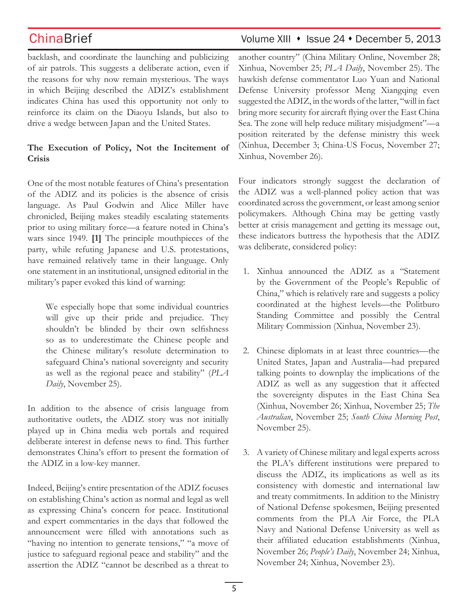backlash, and coordinate the launching and publicizing of air patrols. This suggests a deliberate action, even if the reasons for why now remain mysterious. The ways in which Beijing described the ADIZ's establishment indicates China has used this opportunity not only to reinforce its claim on the Diaoyu Islands, but also to drive a wedge between Japan and the United States.

## **The Execution of Policy, Not the Incitement of Crisis**

One of the most notable features of China's presentation of the ADIZ and its policies is the absence of crisis language. As Paul Godwin and Alice Miller have chronicled, Beijing makes steadily escalating statements prior to using military force—a feature noted in China's wars since 1949. **[1]** The principle mouthpieces of the party, while refuting Japanese and U.S. protestations, have remained relatively tame in their language. Only one statement in an institutional, unsigned editorial in the military's paper evoked this kind of warning:

We especially hope that some individual countries will give up their pride and prejudice. They shouldn't be blinded by their own selfishness so as to underestimate the Chinese people and the Chinese military's resolute determination to safeguard China's national sovereignty and security as well as the regional peace and stability" (*PLA Daily*, November 25).

In addition to the absence of crisis language from authoritative outlets, the ADIZ story was not initially played up in China media web portals and required deliberate interest in defense news to find. This further demonstrates China's effort to present the formation of the ADIZ in a low-key manner.

Indeed, Beijing's entire presentation of the ADIZ focuses on establishing China's action as normal and legal as well as expressing China's concern for peace. Institutional and expert commentaries in the days that followed the announcement were filled with annotations such as "having no intention to generate tensions," "a move of justice to safeguard regional peace and stability" and the assertion the ADIZ "cannot be described as a threat to

# ChinaBrief Volume XIII • Issue 24 • December 5, 2013

another country" (China Military Online, November 28; Xinhua, November 25; *PLA Daily*, November 25). The hawkish defense commentator Luo Yuan and National Defense University professor Meng Xiangqing even suggested the ADIZ, in the words of the latter, "will in fact bring more security for aircraft flying over the East China Sea. The zone will help reduce military misjudgment"—a position reiterated by the defense ministry this week (Xinhua, December 3; China-US Focus, November 27; Xinhua, November 26).

Four indicators strongly suggest the declaration of the ADIZ was a well-planned policy action that was coordinated across the government, or least among senior policymakers. Although China may be getting vastly better at crisis management and getting its message out, these indicators buttress the hypothesis that the ADIZ was deliberate, considered policy:

- 1. Xinhua announced the ADIZ as a "Statement by the Government of the People's Republic of China," which is relatively rare and suggests a policy coordinated at the highest levels—the Politburo Standing Committee and possibly the Central Military Commission (Xinhua, November 23).
- 2. Chinese diplomats in at least three countries—the United States, Japan and Australia—had prepared talking points to downplay the implications of the ADIZ as well as any suggestion that it affected the sovereignty disputes in the East China Sea (Xinhua, November 26; Xinhua, November 25; *The Australian*, November 25; *South China Morning Post*, November 25).
- 3. A variety of Chinese military and legal experts across the PLA's different institutions were prepared to discuss the ADIZ, its implications as well as its consistency with domestic and international law and treaty commitments. In addition to the Ministry of National Defense spokesmen, Beijing presented comments from the PLA Air Force, the PLA Navy and National Defense University as well as their affiliated education establishments (Xinhua, November 26; *People's Daily*, November 24; Xinhua, November 24; Xinhua, November 23).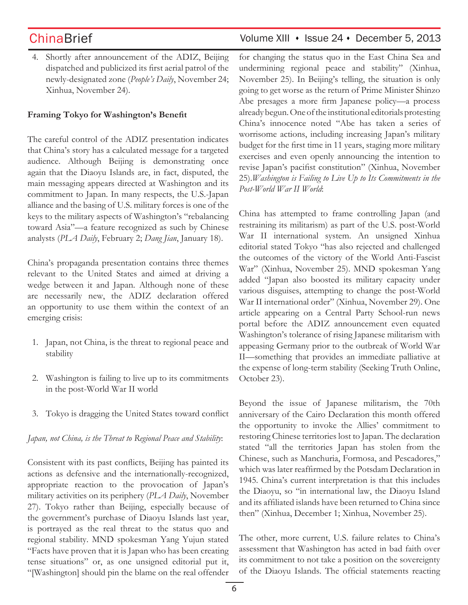4. Shortly after announcement of the ADIZ, Beijing dispatched and publicized its first aerial patrol of the newly-designated zone (*People's Daily*, November 24; Xinhua, November 24).

### **Framing Tokyo for Washington's Benefit**

The careful control of the ADIZ presentation indicates that China's story has a calculated message for a targeted audience. Although Beijing is demonstrating once again that the Diaoyu Islands are, in fact, disputed, the main messaging appears directed at Washington and its commitment to Japan. In many respects, the U.S.-Japan alliance and the basing of U.S. military forces is one of the keys to the military aspects of Washington's "rebalancing toward Asia"—a feature recognized as such by Chinese analysts (*PLA Daily*, February 2; *Dang Jian*, January 18).

China's propaganda presentation contains three themes relevant to the United States and aimed at driving a wedge between it and Japan. Although none of these are necessarily new, the ADIZ declaration offered an opportunity to use them within the context of an emerging crisis:

- 1. Japan, not China, is the threat to regional peace and stability
- 2. Washington is failing to live up to its commitments in the post-World War II world
- 3. Tokyo is dragging the United States toward conflict

### *Japan, not China, is the Threat to Regional Peace and Stability*:

Consistent with its past conflicts, Beijing has painted its actions as defensive and the internationally-recognized, appropriate reaction to the provocation of Japan's military activities on its periphery (*PLA Daily*, November 27). Tokyo rather than Beijing, especially because of the government's purchase of Diaoyu Islands last year, is portrayed as the real threat to the status quo and regional stability. MND spokesman Yang Yujun stated "Facts have proven that it is Japan who has been creating tense situations" or, as one unsigned editorial put it, "[Washington] should pin the blame on the real offender

# ChinaBrief Volume XIII • Issue 24 • December 5, 2013

for changing the status quo in the East China Sea and undermining regional peace and stability" (Xinhua, November 25). In Beijing's telling, the situation is only going to get worse as the return of Prime Minister Shinzo Abe presages a more firm Japanese policy—a process already begun. One of the institutional editorials protesting China's innocence noted "Abe has taken a series of worrisome actions, including increasing Japan's military budget for the first time in 11 years, staging more military exercises and even openly announcing the intention to revise Japan's pacifist constitution" (Xinhua, November 25).*Washington is Failing to Live Up to Its Commitments in the Post-World War II World*:

China has attempted to frame controlling Japan (and restraining its militarism) as part of the U.S. post-World War II international system. An unsigned Xinhua editorial stated Tokyo "has also rejected and challenged the outcomes of the victory of the World Anti-Fascist War" (Xinhua, November 25). MND spokesman Yang added "Japan also boosted its military capacity under various disguises, attempting to change the post-World War II international order" (Xinhua, November 29). One article appearing on a Central Party School-run news portal before the ADIZ announcement even equated Washington's tolerance of rising Japanese militarism with appeasing Germany prior to the outbreak of World War II—something that provides an immediate palliative at the expense of long-term stability (Seeking Truth Online, October 23).

Beyond the issue of Japanese militarism, the 70th anniversary of the Cairo Declaration this month offered the opportunity to invoke the Allies' commitment to restoring Chinese territories lost to Japan. The declaration stated "all the territories Japan has stolen from the Chinese, such as Manchuria, Formosa, and Pescadores," which was later reaffirmed by the Potsdam Declaration in 1945. China's current interpretation is that this includes the Diaoyu, so "in international law, the Diaoyu Island and its affiliated islands have been returned to China since then" (Xinhua, December 1; Xinhua, November 25).

The other, more current, U.S. failure relates to China's assessment that Washington has acted in bad faith over its commitment to not take a position on the sovereignty of the Diaoyu Islands. The official statements reacting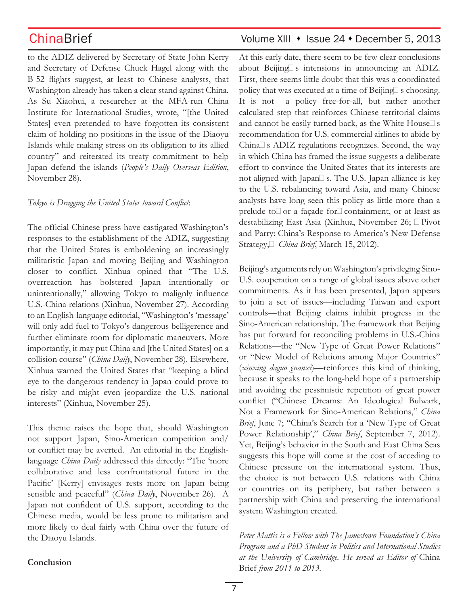to the ADIZ delivered by Secretary of State John Kerry and Secretary of Defense Chuck Hagel along with the B-52 flights suggest, at least to Chinese analysts, that Washington already has taken a clear stand against China. As Su Xiaohui, a researcher at the MFA-run China Institute for International Studies, wrote, "[the United States] even pretended to have forgotten its consistent claim of holding no positions in the issue of the Diaoyu Islands while making stress on its obligation to its allied country" and reiterated its treaty commitment to help Japan defend the islands (*People's Daily Overseas Edition*, November 28).

### *Tokyo is Dragging the United States toward Conflict*:

The official Chinese press have castigated Washington's responses to the establishment of the ADIZ, suggesting that the United States is emboldening an increasingly militaristic Japan and moving Beijing and Washington closer to conflict. Xinhua opined that "The U.S. overreaction has bolstered Japan intentionally or unintentionally," allowing Tokyo to malignly influence U.S.-China relations (Xinhua, November 27). According to an English-language editorial, "Washington's 'message' will only add fuel to Tokyo's dangerous belligerence and further eliminate room for diplomatic maneuvers. More importantly, it may put China and [the United States] on a collision course" (*China Daily*, November 28). Elsewhere, Xinhua warned the United States that "keeping a blind eye to the dangerous tendency in Japan could prove to be risky and might even jeopardize the U.S. national interests" (Xinhua, November 25).

This theme raises the hope that, should Washington not support Japan, Sino-American competition and/ or conflict may be averted. An editorial in the Englishlanguage *China Daily* addressed this directly: "The 'more collaborative and less confrontational future in the Pacific' [Kerry] envisages rests more on Japan being sensible and peaceful" (*China Daily*, November 26). A Japan not confident of U.S. support, according to the Chinese media, would be less prone to militarism and more likely to deal fairly with China over the future of the Diaoyu Islands.

# ChinaBrief Volume XIII • Issue 24 • December 5, 2013

At this early date, there seem to be few clear conclusions about Beijing $\square$  s intensions in announcing an ADIZ. First, there seems little doubt that this was a coordinated policy that was executed at a time of Beijing $\Box$  s choosing. It is not a policy free-for-all, but rather another calculated step that reinforces Chinese territorial claims and cannot be easily turned back, as the White House $\square$  s recommendation for U.S. commercial airlines to abide by China $\square$  s ADIZ regulations recognizes. Second, the way in which China has framed the issue suggests a deliberate effort to convince the United States that its interests are not aligned with Japan $\square$  s. The U.S.-Japan alliance is key to the U.S. rebalancing toward Asia, and many Chinese analysts have long seen this policy as little more than a prelude to $\Box$  or a façade for $\Box$  containment, or at least as destabilizing East Asia (Xinhua, November 26; Pivot and Parry: China's Response to America's New Defense Strategy, *China Brief*, March 15, 2012).

Beijing's arguments rely on Washington's privileging Sino-U.S. cooperation on a range of global issues above other commitments. As it has been presented, Japan appears to join a set of issues—including Taiwan and export controls—that Beijing claims inhibit progress in the Sino-American relationship. The framework that Beijing has put forward for reconciling problems in U.S.-China Relations—the "New Type of Great Power Relations" or "New Model of Relations among Major Countries" (*xinxing daguo guanxi*)—reinforces this kind of thinking, because it speaks to the long-held hope of a partnership and avoiding the pessimistic repetition of great power conflict ("Chinese Dreams: An Ideological Bulwark, Not a Framework for Sino-American Relations," *China Brief*, June 7; "China's Search for a 'New Type of Great Power Relationship'," *China Brief*, September 7, 2012). Yet, Beijing's behavior in the South and East China Seas suggests this hope will come at the cost of acceding to Chinese pressure on the international system. Thus, the choice is not between U.S. relations with China or countries on its periphery, but rather between a partnership with China and preserving the international system Washington created.

*Peter Mattis is a Fellow with The Jamestown Foundation's China Program and a PhD Student in Politics and International Studies at the University of Cambridge. He served as Editor of* China Brief *from 2011 to 2013.* 

## **Conclusion**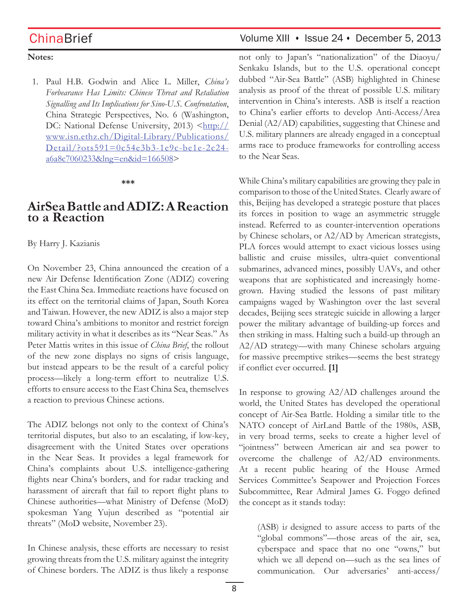### **Notes:**

1. Paul H.B. Godwin and Alice L. Miller, *China's Forbearance Has Limits: Chinese Threat and Retaliation Signalling and Its Implications for Sino-U.S. Confrontation*, China Strategic Perspectives, No. 6 (Washington, DC: National Defense University, 2013) <http:// www.isn.ethz.ch/Digital-Library/Publications/ Detail/?ots591=0c54e3b3-1e9c-be1e-2c24 a6a8c7060233&lng=en&id=166508>

### **\*\*\***

# **AirSea Battle and ADIZ: A Reaction to a Reaction**

By Harry J. Kazianis

On November 23, China announced the creation of a new Air Defense Identification Zone (ADIZ) covering the East China Sea. Immediate reactions have focused on its effect on the territorial claims of Japan, South Korea and Taiwan. However, the new ADIZ is also a major step toward China's ambitions to monitor and restrict foreign military activity in what it describes as its "Near Seas." As Peter Mattis writes in this issue of *China Brief*, the rollout of the new zone displays no signs of crisis language, but instead appears to be the result of a careful policy process—likely a long-term effort to neutralize U.S. efforts to ensure access to the East China Sea, themselves a reaction to previous Chinese actions.

The ADIZ belongs not only to the context of China's territorial disputes, but also to an escalating, if low-key, disagreement with the United States over operations in the Near Seas. It provides a legal framework for China's complaints about U.S. intelligence-gathering flights near China's borders, and for radar tracking and harassment of aircraft that fail to report flight plans to Chinese authorities—what Ministry of Defense (MoD) spokesman Yang Yujun described as "potential air threats" (MoD website, November 23).

In Chinese analysis, these efforts are necessary to resist growing threats from the U.S. military against the integrity of Chinese borders. The ADIZ is thus likely a response

# ChinaBrief Volume XIII • Issue 24 • December 5, 2013

not only to Japan's "nationalization" of the Diaoyu/ Senkaku Islands, but to the U.S. operational concept dubbed "Air-Sea Battle" (ASB) highlighted in Chinese analysis as proof of the threat of possible U.S. military intervention in China's interests. ASB is itself a reaction to China's earlier efforts to develop Anti-Access/Area Denial (A2/AD) capabilities, suggesting that Chinese and U.S. military planners are already engaged in a conceptual arms race to produce frameworks for controlling access to the Near Seas.

While China's military capabilities are growing they pale in comparison to those of the United States. Clearly aware of this, Beijing has developed a strategic posture that places its forces in position to wage an asymmetric struggle instead. Referred to as counter-intervention operations by Chinese scholars, or A2/AD by American strategists, PLA forces would attempt to exact vicious losses using ballistic and cruise missiles, ultra-quiet conventional submarines, advanced mines, possibly UAVs, and other weapons that are sophisticated and increasingly homegrown. Having studied the lessons of past military campaigns waged by Washington over the last several decades, Beijing sees strategic suicide in allowing a larger power the military advantage of building-up forces and then striking in mass. Halting such a build-up through an A2/AD strategy—with many Chinese scholars arguing for massive preemptive strikes—seems the best strategy if conflict ever occurred. **[1]**

In response to growing A2/AD challenges around the world, the United States has developed the operational concept of Air-Sea Battle. Holding a similar title to the NATO concept of AirLand Battle of the 1980s, ASB, in very broad terms, seeks to create a higher level of "jointness" between American air and sea power to overcome the challenge of A2/AD environments. At a recent public hearing of the House Armed Services Committee's Seapower and Projection Forces Subcommittee, Rear Admiral James G. Foggo defined the concept as it stands today:

(ASB) i*s* designed to assure access to parts of the "global commons"—those areas of the air, sea, cyberspace and space that no one "owns," but which we all depend on—such as the sea lines of communication. Our adversaries' anti-access/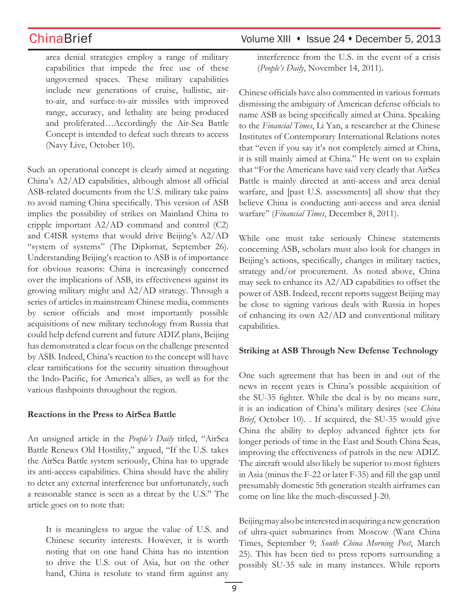area denial strategies employ a range of military capabilities that impede the free use of these ungoverned spaces. These military capabilities include new generations of cruise, ballistic, airto-air, and surface-to-air missiles with improved range, accuracy, and lethality are being produced and proliferated…Accordingly the Air-Sea Battle Concept is intended to defeat such threats to access (Navy Live, October 10).

Such an operational concept is clearly aimed at negating China's A2/AD capabilities, although almost all official ASB-related documents from the U.S. military take pains to avoid naming China specifically. This version of ASB implies the possibility of strikes on Mainland China to cripple important A2/AD command and control (C2) and C4ISR systems that would drive Beijing's A2/AD "system of systems" (The Diplomat, September 26). Understanding Beijing's reaction to ASB is of importance for obvious reasons: China is increasingly concerned over the implications of ASB, its effectiveness against its growing military might and A2/AD strategy. Through a series of articles in mainstream Chinese media, comments by senior officials and most importantly possible acquisitions of new military technology from Russia that could help defend current and future ADIZ plans, Beijing has demonstrated a clear focus on the challenge presented by ASB. Indeed, China's reaction to the concept will have clear ramifications for the security situation throughout the Indo-Pacific, for America's allies, as well as for the various flashpoints throughout the region.

### **Reactions in the Press to AirSea Battle**

An unsigned article in the *People's Daily* titled, "AirSea Battle Renews Old Hostility," argued, "If the U.S. takes the AirSea Battle system seriously, China has to upgrade its anti-access capabilities. China should have the ability to deter any external interference but unfortunately, such a reasonable stance is seen as a threat by the U.S." The article goes on to note that:

It is meaningless to argue the value of U.S. and Chinese security interests. However, it is worth noting that on one hand China has no intention to drive the U.S. out of Asia, but on the other hand, China is resolute to stand firm against any

# ChinaBrief Volume XIII • Issue 24 • December 5, 2013

interference from the U.S. in the event of a crisis (*People's Daily*, November 14, 2011).

Chinese officials have also commented in various formats dismissing the ambiguity of American defense officials to name ASB as being specifically aimed at China. Speaking to the *Financial Times*, Li Yan, a researcher at the Chinese Institutes of Contemporary International Relations notes that "even if you say it's not completely aimed at China, it is still mainly aimed at China." He went on to explain that "For the Americans have said very clearly that AirSea Battle is mainly directed at anti-access and area denial warfare, and [past U.S. assessments] all show that they believe China is conducting anti-access and area denial warfare" (*Financial Times*, December 8, 2011).

While one must take seriously Chinese statements concerning ASB, scholars must also look for changes in Beijing's actions, specifically, changes in military tactics, strategy and/or procurement. As noted above, China may seek to enhance its A2/AD capabilities to offset the power of ASB. Indeed, recent reports suggest Beijing may be close to signing various deals with Russia in hopes of enhancing its own A2/AD and conventional military capabilities.

### **Striking at ASB Through New Defense Technology**

One such agreement that has been in and out of the news in recent years is China's possible acquisition of the SU-35 fighter. While the deal is by no means sure, it is an indication of China's military desires (see *China Brief*, October 10). . If acquired, the SU-35 would give China the ability to deploy advanced fighter jets for longer periods of time in the East and South China Seas, improving the effectiveness of patrols in the new ADIZ. The aircraft would also likely be superior to most fighters in Asia (minus the F-22 or later F-35) and fill the gap until presumably domestic 5th generation stealth airframes can come on line like the much-discussed J-20.

Beijing may also be interested in acquiring a new generation of ultra-quiet submarines from Moscow (Want China Times, September 9; *South China Morning Post*, March 25). This has been tied to press reports surrounding a possibly SU-35 sale in many instances. While reports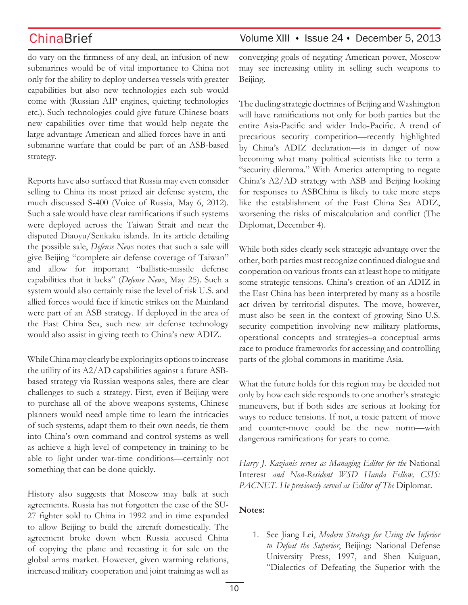do vary on the firmness of any deal, an infusion of new submarines would be of vital importance to China not only for the ability to deploy undersea vessels with greater capabilities but also new technologies each sub would come with (Russian AIP engines, quieting technologies etc.). Such technologies could give future Chinese boats new capabilities over time that would help negate the large advantage American and allied forces have in antisubmarine warfare that could be part of an ASB-based strategy.

Reports have also surfaced that Russia may even consider selling to China its most prized air defense system, the much discussed S-400 (Voice of Russia, May 6, 2012). Such a sale would have clear ramifications if such systems were deployed across the Taiwan Strait and near the disputed Diaoyu/Senkaku islands. In its article detailing the possible sale, *Defense News* notes that such a sale will give Beijing "complete air defense coverage of Taiwan" and allow for important "ballistic-missile defense capabilities that it lacks" (*Defense News*, May 25). Such a system would also certainly raise the level of risk U.S. and allied forces would face if kinetic strikes on the Mainland were part of an ASB strategy. If deployed in the area of the East China Sea, such new air defense technology would also assist in giving teeth to China's new ADIZ.

While China may clearly be exploring its options to increase the utility of its A2/AD capabilities against a future ASBbased strategy via Russian weapons sales, there are clear challenges to such a strategy. First, even if Beijing were to purchase all of the above weapons systems, Chinese planners would need ample time to learn the intricacies of such systems, adapt them to their own needs, tie them into China's own command and control systems as well as achieve a high level of competency in training to be able to fight under war-time conditions—certainly not something that can be done quickly.

History also suggests that Moscow may balk at such agreements. Russia has not forgotten the case of the SU-27 fighter sold to China in 1992 and in time expanded to allow Beijing to build the aircraft domestically. The agreement broke down when Russia accused China of copying the plane and recasting it for sale on the global arms market. However, given warming relations, increased military cooperation and joint training as well as

## ChinaBrief Volume XIII • Issue 24 • December 5, 2013

converging goals of negating American power, Moscow may see increasing utility in selling such weapons to Beijing.

The dueling strategic doctrines of Beijing and Washington will have ramifications not only for both parties but the entire Asia-Pacific and wider Indo-Pacific. A trend of precarious security competition—recently highlighted by China's ADIZ declaration—is in danger of now becoming what many political scientists like to term a "security dilemma." With America attempting to negate China's A2/AD strategy with ASB and Beijing looking for responses to ASBChina is likely to take more steps like the establishment of the East China Sea ADIZ, worsening the risks of miscalculation and conflict (The Diplomat, December 4).

While both sides clearly seek strategic advantage over the other, both parties must recognize continued dialogue and cooperation on various fronts can at least hope to mitigate some strategic tensions. China's creation of an ADIZ in the East China has been interpreted by many as a hostile act driven by territorial disputes. The move, however, must also be seen in the context of growing Sino-U.S. security competition involving new military platforms, operational concepts and strategies–a conceptual arms race to produce frameworks for accessing and controlling parts of the global commons in maritime Asia.

What the future holds for this region may be decided not only by how each side responds to one another's strategic maneuvers, but if both sides are serious at looking for ways to reduce tensions. If not, a toxic pattern of move and counter-move could be the new norm—with dangerous ramifications for years to come.

*Harry J. Kazianis serves as Managing Editor for the* National Interest *and Non-Resident WSD Handa Fellow, CSIS: PACNET. He previously served as Editor of The* Diplomat*.* 

## **Notes:**

1. See Jiang Lei, *Modern Strategy for Using the Inferior to Defeat the Superior*, Beijing: National Defense University Press, 1997, and Shen Kuiguan, "Dialectics of Defeating the Superior with the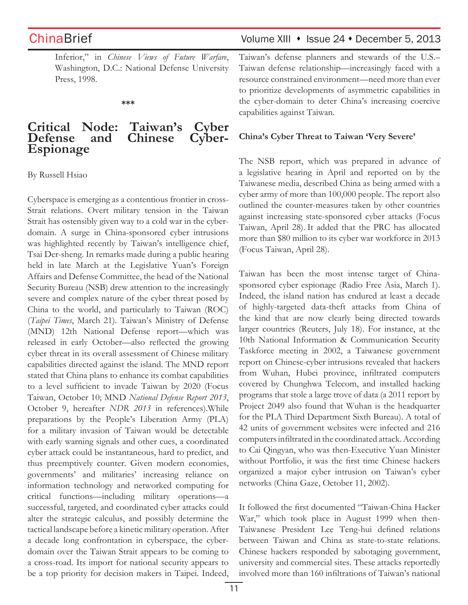Inferior," in *Chinese Views of Future Warfare*, Washington, D.C.: National Defense University Press, 1998.

**\*\*\***

## **Critical Node: Taiwan's Cyber Chinese Espionage**

By Russell Hsiao

Cyberspace is emerging as a contentious frontier in cross-Strait relations. Overt military tension in the Taiwan Strait has ostensibly given way to a cold war in the cyberdomain. A surge in China-sponsored cyber intrusions was highlighted recently by Taiwan's intelligence chief, Tsai Der-sheng. In remarks made during a public hearing held in late March at the Legislative Yuan's Foreign Affairs and Defense Committee, the head of the National Security Bureau (NSB) drew attention to the increasingly severe and complex nature of the cyber threat posed by China to the world, and particularly to Taiwan (ROC) (*Taipei Times*, March 21). Taiwan's Ministry of Defense (MND) 12th National Defense report—which was released in early October—also reflected the growing cyber threat in its overall assessment of Chinese military capabilities directed against the island. The MND report stated that China plans to enhance its combat capabilities to a level sufficient to invade Taiwan by 2020 (Focus Taiwan, October 10; MND *National Defense Report 2013*, October 9, hereafter *NDR 2013* in references).While preparations by the People's Liberation Army (PLA) for a military invasion of Taiwan would be detectable with early warning signals and other cues, a coordinated cyber attack could be instantaneous, hard to predict, and thus preemptively counter. Given modern economies, governments' and militaries' increasing reliance on information technology and networked computing for critical functions—including military operations—a successful, targeted, and coordinated cyber attacks could alter the strategic calculus, and possibly determine the tactical landscape before a kinetic military operation. After a decade long confrontation in cyberspace, the cyberdomain over the Taiwan Strait appears to be coming to a cross-road. Its import for national security appears to be a top priority for decision makers in Taipei. Indeed,

# ChinaBrief ChinaBrief Volume XIII • Issue 24 • December 5, 2013

Taiwan's defense planners and stewards of the U.S.– Taiwan defense relationship—increasingly faced with a resource constrained environment—need more than ever to prioritize developments of asymmetric capabilities in the cyber-domain to deter China's increasing coercive capabilities against Taiwan.

### **China's Cyber Threat to Taiwan 'Very Severe'**

The NSB report, which was prepared in advance of a legislative hearing in April and reported on by the Taiwanese media, described China as being armed with a cyber army of more than 100,000 people. The report also outlined the counter-measures taken by other countries against increasing state-sponsored cyber attacks (Focus Taiwan, April 28). It added that the PRC has allocated more than \$80 million to its cyber war workforce in 2013 (Focus Taiwan, April 28).

Taiwan has been the most intense target of Chinasponsored cyber espionage (Radio Free Asia, March 1). Indeed, the island nation has endured at least a decade of highly-targeted data-theft attacks from China of the kind that are now clearly being directed towards larger countries (Reuters, July 18). For instance, at the 10th National Information & Communication Security Taskforce meeting in 2002, a Taiwanese government report on Chinese-cyber intrusions revealed that hackers from Wuhan, Hubei province, infiltrated computers covered by Chunghwa Telecom, and installed hacking programs that stole a large trove of data (a 2011 report by Project 2049 also found that Wuhan is the headquarter for the PLA Third Department Sixth Bureau). A total of 42 units of government websites were infected and 216 computers infiltrated in the coordinated attack. According to Cai Qingyan, who was then-Executive Yuan Minister without Portfolio, it was the first time Chinese hackers organized a major cyber intrusion on Taiwan's cyber networks (China Gaze, October 11, 2002).

It followed the first documented "Taiwan-China Hacker War," which took place in August 1999 when then-Taiwanese President Lee Teng-hui defined relations between Taiwan and China as state-to-state relations. Chinese hackers responded by sabotaging government, university and commercial sites. These attacks reportedly involved more than 160 infiltrations of Taiwan's national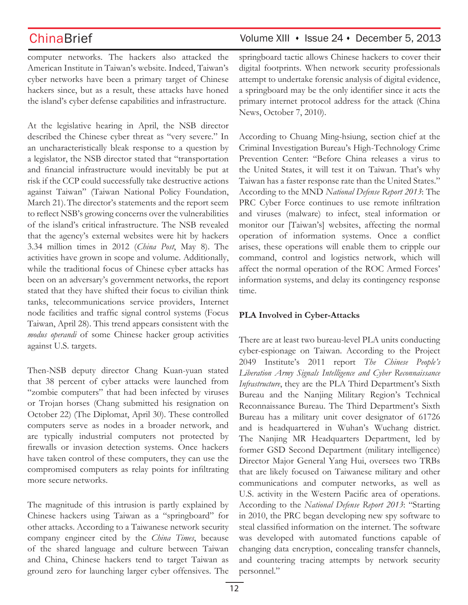computer networks. The hackers also attacked the American Institute in Taiwan's website. Indeed, Taiwan's cyber networks have been a primary target of Chinese hackers since, but as a result, these attacks have honed the island's cyber defense capabilities and infrastructure.

At the legislative hearing in April, the NSB director described the Chinese cyber threat as "very severe." In an uncharacteristically bleak response to a question by a legislator, the NSB director stated that "transportation and financial infrastructure would inevitably be put at risk if the CCP could successfully take destructive actions against Taiwan" (Taiwan National Policy Foundation, March 21).The director's statements and the report seem to reflect NSB's growing concerns over the vulnerabilities of the island's critical infrastructure. The NSB revealed that the agency's external websites were hit by hackers 3.34 million times in 2012 (*China Post*, May 8). The activities have grown in scope and volume. Additionally, while the traditional focus of Chinese cyber attacks has been on an adversary's government networks, the report stated that they have shifted their focus to civilian think tanks, telecommunications service providers, Internet node facilities and traffic signal control systems (Focus Taiwan, April 28). This trend appears consistent with the *modus operandi* of some Chinese hacker group activities against U.S. targets.

Then-NSB deputy director Chang Kuan-yuan stated that 38 percent of cyber attacks were launched from "zombie computers" that had been infected by viruses or Trojan horses (Chang submitted his resignation on October 22) (The Diplomat, April 30). These controlled computers serve as nodes in a broader network, and are typically industrial computers not protected by firewalls or invasion detection systems. Once hackers have taken control of these computers, they can use the compromised computers as relay points for infiltrating more secure networks.

The magnitude of this intrusion is partly explained by Chinese hackers using Taiwan as a "springboard" for other attacks. According to a Taiwanese network security company engineer cited by the *China Times*, because of the shared language and culture between Taiwan and China, Chinese hackers tend to target Taiwan as ground zero for launching larger cyber offensives. The

## ChinaBrief Volume XIII • Issue 24 • December 5, 2013

springboard tactic allows Chinese hackers to cover their digital footprints. When network security professionals attempt to undertake forensic analysis of digital evidence, a springboard may be the only identifier since it acts the primary internet protocol address for the attack (China News, October 7, 2010).

According to Chuang Ming-hsiung, section chief at the Criminal Investigation Bureau's High-Technology Crime Prevention Center: "Before China releases a virus to the United States, it will test it on Taiwan. That's why Taiwan has a faster response rate than the United States." According to the MND *National Defense Report 2013*: The PRC Cyber Force continues to use remote infiltration and viruses (malware) to infect, steal information or monitor our [Taiwan's] websites, affecting the normal operation of information systems. Once a conflict arises, these operations will enable them to cripple our command, control and logistics network, which will affect the normal operation of the ROC Armed Forces' information systems, and delay its contingency response time.

## **PLA Involved in Cyber-Attacks**

There are at least two bureau-level PLA units conducting cyber-espionage on Taiwan. According to the Project 2049 Institute's 2011 report *The Chinese People's Liberation Army Signals Intelligence and Cyber Reconnaissance Infrastructure*, they are the PLA Third Department's Sixth Bureau and the Nanjing Military Region's Technical Reconnaissance Bureau. The Third Department's Sixth Bureau has a military unit cover designator of 61726 and is headquartered in Wuhan's Wuchang district. The Nanjing MR Headquarters Department, led by former GSD Second Department (military intelligence) Director Major General Yang Hui, oversees two TRBs that are likely focused on Taiwanese military and other communications and computer networks, as well as U.S. activity in the Western Pacific area of operations. According to the *National Defense Report 2013*: "Starting in 2010, the PRC began developing new spy software to steal classified information on the internet. The software was developed with automated functions capable of changing data encryption, concealing transfer channels, and countering tracing attempts by network security personnel."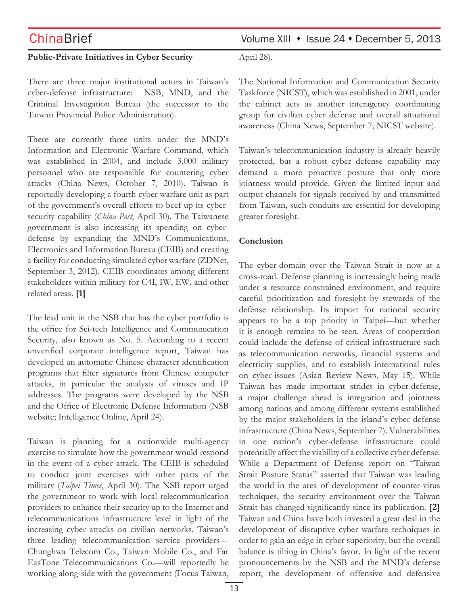### **Public-Private Initiatives in Cyber Security**

There are three major institutional actors in Taiwan's cyber-defense infrastructure: NSB, MND, and the Criminal Investigation Bureau (the successor to the Taiwan Provincial Police Administration).

There are currently three units under the MND's Information and Electronic Warfare Command, which was established in 2004, and include 3,000 military personnel who are responsible for countering cyber attacks (China News, October 7, 2010). Taiwan is reportedly developing a fourth cyber warfare unit as part of the government's overall efforts to beef up its cybersecurity capability (*China Post*, April 30). The Taiwanese government is also increasing its spending on cyberdefense by expanding the MND's Communications, Electronics and Information Bureau (CEIB) and creating a facility for conducting simulated cyber warfare (ZDNet, September 3, 2012). CEIB coordinates among different stakeholders within military for C4I, IW, EW, and other related areas. **[1]**

The lead unit in the NSB that has the cyber portfolio is the office for Sci-tech Intelligence and Communication Security, also known as No. 5. According to a recent unverified corporate intelligence report, Taiwan has developed an automatic Chinese character identification programs that filter signatures from Chinese computer attacks, in particular the analysis of viruses and IP addresses. The programs were developed by the NSB and the Office of Electronic Defense Information (NSB website; Intelligence Online, April 24).

Taiwan is planning for a nationwide multi-agency exercise to simulate how the government would respond in the event of a cyber attack. The CEIB is scheduled to conduct joint exercises with other parts of the military (*Taipei Times*, April 30). The NSB report urged the government to work with local telecommunication providers to enhance their security up to the Internet and telecommunications infrastructure level in light of the increasing cyber attacks on civilian networks. Taiwan's three leading telecommunication service providers— Chunghwa Telecom Co., Taiwan Mobile Co., and Far EasTone Telecommunications Co.—will reportedly be working along-side with the government (Focus Taiwan,

# ChinaBrief Volume XIII • Issue 24 • December 5, 2013

April 28).

The National Information and Communication Security Taskforce (NICST), which was established in 2001, under the cabinet acts as another interagency coordinating group for civilian cyber defense and overall situational awareness (China News, September 7; NICST website).

Taiwan's telecommunication industry is already heavily protected, but a robust cyber defense capability may demand a more proactive posture that only more jointness would provide. Given the limited input and output channels for signals received by and transmitted from Taiwan, such conduits are essential for developing greater foresight.

### **Conclusion**

The cyber-domain over the Taiwan Strait is now at a cross-road. Defense planning is increasingly being made under a resource constrained environment, and require careful prioritization and foresight by stewards of the defense relationship. Its import for national security appears to be a top priority in Taipei—but whether it is enough remains to be seen. Areas of cooperation could include the defense of critical infrastructure such as telecommunication networks, financial systems and electricity supplies, and to establish international rules on cyber-issues (Asian Review News, May 15). While Taiwan has made important strides in cyber-defense, a major challenge ahead is integration and jointness among nations and among different systems established by the major stakeholders in the island's cyber defense infrastructure (China News, September 7). Vulnerabilities in one nation's cyber-defense infrastructure could potentially affect the viability of a collective cyber defense. While a Department of Defense report on "Taiwan Strait Posture Status" asserted that Taiwan was leading the world in the area of development of counter-virus techniques, the security environment over the Taiwan Strait has changed significantly since its publication. **[2]** Taiwan and China have both invested a great deal in the development of disruptive cyber warfare techniques in order to gain an edge in cyber superiority, but the overall balance is tilting in China's favor. In light of the recent pronouncements by the NSB and the MND's defense report, the development of offensive and defensive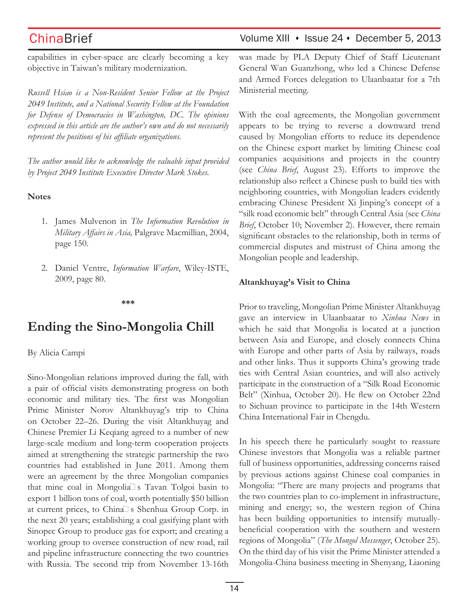## ChinaBrief Volume XIII • Issue 24 • December 5, 2013

capabilities in cyber-space are clearly becoming a key objective in Taiwan's military modernization.

*Russell Hsiao is a Non-Resident Senior Fellow at the Project 2049 Institute, and a National Security Fellow at the Foundation for Defense of Democracies in Washington, DC. The opinions expressed in this article are the author's own and do not necessarily represent the positions of his affiliate organizations.*

*The author would like to acknowledge the valuable input provided by Project 2049 Institute Executive Director Mark Stokes.*

### **Notes**

- 1. James Mulvenon in *The Information Revolution in Military Affairs in Asia,* Palgrave Macmillian, 2004, page 150.
- 2. Daniel Ventre, *Information Warfare*, Wiley-ISTE, 2009, page 80.

### **\*\*\***

# **Ending the Sino-Mongolia Chill**

By Alicia Campi

Sino-Mongolian relations improved during the fall, with a pair of official visits demonstrating progress on both economic and military ties. The first was Mongolian Prime Minister Norov Altankhuyag's trip to China on October 22–26. During the visit Altankhuyag and Chinese Premier Li Keqiang agreed to a number of new large-scale medium and long-term cooperation projects aimed at strengthening the strategic partnership the two countries had established in June 2011. Among them were an agreement by the three Mongolian companies that mine coal in Mongolia<sup>[]</sup> s Tavan Tolgoi basin to export 1 billion tons of coal, worth potentially \$50 billion at current prices, to China<sup>n</sup>s Shenhua Group Corp. in the next 20 years; establishing a coal gasifying plant with Sinopec Group to produce gas for export; and creating a working group to oversee construction of new road, rail and pipeline infrastructure connecting the two countries with Russia. The second trip from November 13-16th was made by PLA Deputy Chief of Staff Lieutenant General Wan Guanzhong, who led a Chinese Defense and Armed Forces delegation to Ulaanbaatar for a 7th Ministerial meeting.

With the coal agreements, the Mongolian government appears to be trying to reverse a downward trend caused by Mongolian efforts to reduce its dependence on the Chinese export market by limiting Chinese coal companies acquisitions and projects in the country (see *China Brief*, August 23). Efforts to improve the relationship also reflect a Chinese push to build ties with neighboring countries, with Mongolian leaders evidently embracing Chinese President Xi Jinping's concept of a "silk road economic belt" through Central Asia (see *China Brief*, October 10; November 2). However, there remain significant obstacles to the relationship, both in terms of commercial disputes and mistrust of China among the Mongolian people and leadership.

### **Altankhuyag's Visit to China**

Prior to traveling, Mongolian Prime Minister Altankhuyag gave an interview in Ulaanbaatar to *Xinhua News* in which he said that Mongolia is located at a junction between Asia and Europe, and closely connects China with Europe and other parts of Asia by railways, roads and other links. Thus it supports China's growing trade ties with Central Asian countries, and will also actively participate in the construction of a "Silk Road Economic Belt" (Xinhua, October 20). He flew on October 22nd to Sichuan province to participate in the 14th Western China International Fair in Chengdu.

In his speech there he particularly sought to reassure Chinese investors that Mongolia was a reliable partner full of business opportunities, addressing concerns raised by previous actions against Chinese coal companies in Mongolia: "There are many projects and programs that the two countries plan to co-implement in infrastructure, mining and energy; so, the western region of China has been building opportunities to intensify mutuallybeneficial cooperation with the southern and western regions of Mongolia" (*The Mongol Messenger*, October 25). On the third day of his visit the Prime Minister attended a Mongolia-China business meeting in Shenyang, Liaoning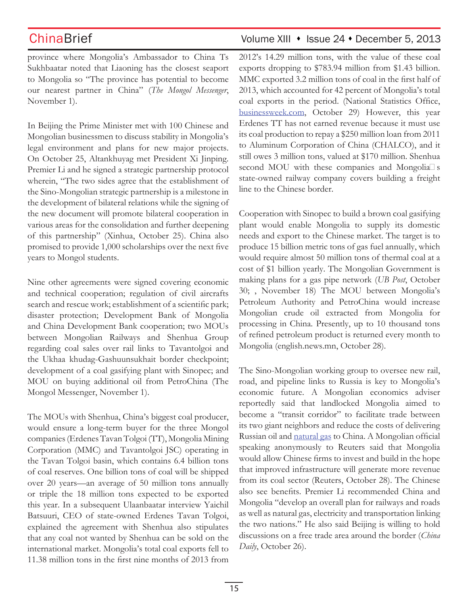province where Mongolia's Ambassador to China Ts Sukhbaatar noted that Liaoning has the closest seaport to Mongolia so "The province has potential to become our nearest partner in China" (*The Mongol Messenger*, November 1).

In Beijing the Prime Minister met with 100 Chinese and Mongolian businessmen to discuss stability in Mongolia's legal environment and plans for new major projects. On October 25, Altankhuyag met President Xi Jinping. Premier Li and he signed a strategic partnership protocol wherein, "The two sides agree that the establishment of the Sino-Mongolian strategic partnership is a milestone in the development of bilateral relations while the signing of the new document will promote bilateral cooperation in various areas for the consolidation and further deepening of this partnership" (Xinhua, October 25). China also promised to provide 1,000 scholarships over the next five years to Mongol students.

Nine other agreements were signed covering economic and technical cooperation; regulation of civil aircrafts search and rescue work; establishment of a scientific park; disaster protection; Development Bank of Mongolia and China Development Bank cooperation; two MOUs between Mongolian Railways and Shenhua Group regarding coal sales over rail links to Tavantolgoi and the Ukhaa khudag-Gashuunsukhait border checkpoint; development of a coal gasifying plant with Sinopec; and MOU on buying additional oil from PetroChina (The Mongol Messenger, November 1).

The MOUs with Shenhua, China's biggest coal producer, would ensure a long-term buyer for the three Mongol companies (Erdenes Tavan Tolgoi (TT), Mongolia Mining Corporation (MMC) and Tavantolgoi JSC) operating in the Tavan Tolgoi basin, which contains 6.4 billion tons of coal reserves. One billion tons of coal will be shipped over 20 years—an average of 50 million tons annually or triple the 18 million tons expected to be exported this year. In a subsequent Ulaanbaatar interview Yaichil Batsuuri, CEO of state-owned Erdenes Tavan Tolgoi, explained the agreement with Shenhua also stipulates that any coal not wanted by Shenhua can be sold on the international market. Mongolia's total coal exports fell to 11.38 million tons in the first nine months of 2013 from

# ChinaBrief Volume XIII • Issue 24 • December 5, 2013

2012's 14.29 million tons, with the value of these coal exports dropping to \$783.94 million from \$1.43 billion. MMC exported 3.2 million tons of coal in the first half of 2013, which accounted for 42 percent of Mongolia's total coal exports in the period. (National Statistics Office, businessweek.com, October 29) However, this year Erdenes TT has not earned revenue because it must use its coal production to repay a \$250 million loan from 2011 to Aluminum Corporation of China (CHALCO), and it still owes 3 million tons, valued at \$170 million. Shenhua second MOU with these companies and Mongolia $\square$  s state-owned railway company covers building a freight line to the Chinese border.

Cooperation with Sinopec to build a brown coal gasifying plant would enable Mongolia to supply its domestic needs and export to the Chinese market. The target is to produce 15 billion metric tons of gas fuel annually, which would require almost 50 million tons of thermal coal at a cost of \$1 billion yearly. The Mongolian Government is making plans for a gas pipe network (*UB Post*, October 30; , November 18) The MOU between Mongolia's Petroleum Authority and PetroChina would increase Mongolian crude oil extracted from Mongolia for processing in China. Presently, up to 10 thousand tons of refined petroleum product is returned every month to Mongolia (english.news.mn, October 28).

The Sino-Mongolian working group to oversee new rail, road, and pipeline links to Russia is key to Mongolia's economic future. A Mongolian economics adviser reportedly said that landlocked Mongolia aimed to become a "transit corridor" to facilitate trade between its two giant neighbors and reduce the costs of delivering Russian oil and natural gas to China. A Mongolian official speaking anonymously to Reuters said that Mongolia would allow Chinese firms to invest and build in the hope that improved infrastructure will generate more revenue from its coal sector (Reuters, October 28). The Chinese also see benefits. Premier Li recommended China and Mongolia "develop an overall plan for railways and roads as well as natural gas, electricity and transportation linking the two nations." He also said Beijing is willing to hold discussions on a free trade area around the border (*China Daily*, October 26).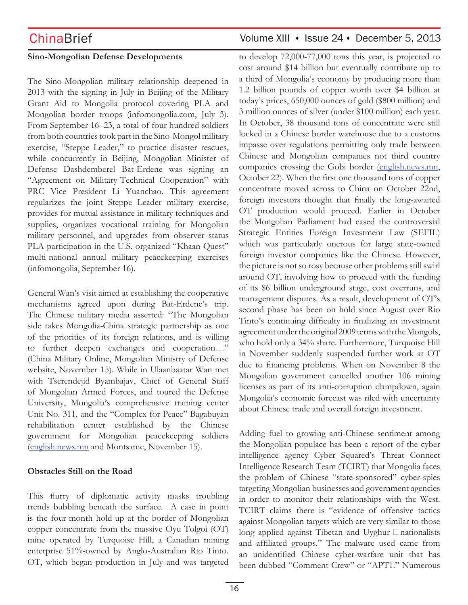## **Sino-Mongolian Defense Developments**

The Sino-Mongolian military relationship deepened in 2013 with the signing in July in Beijing of the Military Grant Aid to Mongolia protocol covering PLA and Mongolian border troops (infomongolia.com, July 3). From September 16–23, a total of four hundred soldiers from both countries took part in the Sino-Mongol military exercise, "Steppe Leader," to practice disaster rescues, while concurrently in Beijing, Mongolian Minister of Defense Dashdemberel Bat-Erdene was signing an "Agreement on Military-Technical Cooperation" with PRC Vice President Li Yuanchao. This agreement regularizes the joint Steppe Leader military exercise, provides for mutual assistance in military techniques and supplies, organizes vocational training for Mongolian military personnel, and upgrades from observer status PLA participation in the U.S.-organized "Khaan Quest" multi-national annual military peacekeeping exercises (infomongolia, September 16).

General Wan's visit aimed at establishing the cooperative mechanisms agreed upon during Bat-Erdene's trip. The Chinese military media asserted: "The Mongolian side takes Mongolia-China strategic partnership as one of the priorities of its foreign relations, and is willing to further deepen exchanges and cooperation…" (China Military Online, Mongolian Ministry of Defense website, November 15). While in Ulaanbaatar Wan met with Tserendejid Byambajav, Chief of General Staff of Mongolian Armed Forces, and toured the Defense University, Mongolia's comprehensive training center Unit No. 311, and the "Complex for Peace" Bagabuyan rehabilitation center established by the Chinese government for Mongolian peacekeeping soldiers (english.news.mn and Montsame, November 15).

## **Obstacles Still on the Road**

This flurry of diplomatic activity masks troubling trends bubbling beneath the surface. A case in point is the four-month hold-up at the border of Mongolian copper concentrate from the massive Oyu Tolgoi (OT) mine operated by Turquoise Hill, a Canadian mining enterprise 51%-owned by Anglo-Australian Rio Tinto. OT, which began production in July and was targeted

## ChinaBrief Volume XIII • Issue 24 • December 5, 2013

to develop 72,000-77,000 tons this year, is projected to cost around \$14 billion but eventually contribute up to a third of Mongolia's economy by producing more than 1.2 billion pounds of copper worth over \$4 billion at today's prices, 650,000 ounces of gold (\$800 million) and 3 million ounces of silver (under \$100 million) each year. In October, 38 thousand tons of concentrate were still locked in a Chinese border warehouse due to a customs impasse over regulations permitting only trade between Chinese and Mongolian companies not third country companies crossing the Gobi border (english.news.mn, October 22). When the first one thousand tons of copper concentrate moved across to China on October 22nd, foreign investors thought that finally the long-awaited OT production would proceed. Earlier in October the Mongolian Parliament had eased the controversial Strategic Entities Foreign Investment Law (SEFIL) which was particularly onerous for large state-owned foreign investor companies like the Chinese. However, the picture is not so rosy because other problems still swirl around OT, involving how to proceed with the funding of its \$6 billion underground stage, cost overruns, and management disputes. As a result, development of OT's second phase has been on hold since August over Rio Tinto's continuing difficulty in finalizing an investment agreement under the original 2009 terms with the Mongols, who hold only a 34% share. Furthermore, Turquoise Hill in November suddenly suspended further work at OT due to financing problems. When on November 8 the Mongolian government cancelled another 106 mining licenses as part of its anti-corruption clampdown, again Mongolia's economic forecast was riled with uncertainty about Chinese trade and overall foreign investment.

Adding fuel to growing anti-Chinese sentiment among the Mongolian populace has been a report of the cyber intelligence agency Cyber Squared's Threat Connect Intelligence Research Team (TCIRT) that Mongolia faces the problem of Chinese "state-sponsored" cyber-spies targeting Mongolian businesses and government agencies in order to monitor their relationships with the West. TCIRT claims there is "evidence of offensive tactics against Mongolian targets which are very similar to those long applied against Tibetan and Uyghur  $\Box$  nationalists and affiliated groups." The malware used came from an unidentified Chinese cyber-warfare unit that has been dubbed "Comment Crew" or "APT1." Numerous